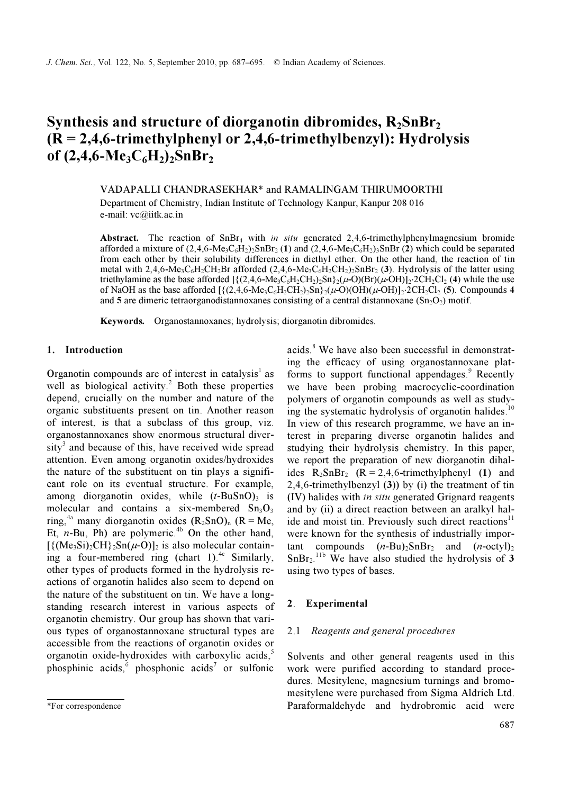# Synthesis and structure of diorganotin dibromides,  $R_2SnBr_2$  $(R = 2,4,6$ -trimethylphenyl or 2,4,6-trimethylbenzyl): Hydrolysis of  $(2,4,6-Me_3C_6H_2)_2SnBr_2$

VADAPALLI CHANDRASEKHAR\* and RAMALINGAM THIRUMOORTHI Department of Chemistry, Indian Institute of Technology Kanpur, Kanpur 208 016 e-mail: vc@iitk.ac.in

Abstract. The reaction of  $SnBr<sub>4</sub>$  with in situ generated 2,4,6-trimethylphenylmagnesium bromide afforded a mixture of  $(2,4,6$ -Me<sub>3</sub>C<sub>6</sub>H<sub>2</sub>)<sub>2</sub>SnBr<sub>2</sub> (1) and  $(2,4,6$ -Me<sub>3</sub>C<sub>6</sub>H<sub>2</sub>)<sub>3</sub>SnBr (2) which could be separated from each other by their solubility differences in diethyl ether. On the other hand, the reaction of tin metal with 2,4,6-Me<sub>3</sub>C<sub>6</sub>H<sub>2</sub>CH<sub>2</sub>Br afforded (2,4,6-Me<sub>3</sub>C<sub>6</sub>H<sub>2</sub>CH<sub>2</sub>)<sub>2</sub>SnBr<sub>2</sub> (3). Hydrolysis of the latter using triethylamine as the base afforded  $[\{(2,4,6-Me_3C_6H_2CH_2)_{2}Sn\}](\mu-O)(Br)(\mu-OH)]_2 \cdot 2CH_2Cl_2$  (4) while the use of NaOH as the base afforded  $\left[\frac{(2,4,6-Me_3C_6H_2CH_2)_2Sn\}}{2}(\mu\text{-O})(OH)(\mu\text{-OH})\right]_2$ ⋅2CH<sub>2</sub>Cl<sub>2</sub> (5). Compounds 4 and 5 are dimeric tetraorganodistannoxanes consisting of a central distannoxane ( $Sn<sub>2</sub>O<sub>2</sub>$ ) motif.

Keywords. Organostannoxanes; hydrolysis; diorganotin dibromides.

## 1. Introduction

Organotin compounds are of interest in catalysis<sup>1</sup> as well as biological activity.<sup>2</sup> Both these properties depend, crucially on the number and nature of the organic substituents present on tin. Another reason of interest, is that a subclass of this group, viz. organostannoxanes show enormous structural diver- $\text{sity}^3$  and because of this, have received wide spread attention. Even among organotin oxides/hydroxides the nature of the substituent on tin plays a significant role on its eventual structure. For example, among diorganotin oxides, while  $(t-BuSnO)$ <sub>3</sub> is molecular and contains a six-membered  $Sn<sub>3</sub>O<sub>3</sub>$ ring,<sup>4a</sup> many diorganotin oxides  $(R_2SnO)$ <sub>n</sub>  $(R = Me)$ , Et,  $n$ -Bu, Ph) are polymeric.<sup>4b</sup> On the other hand,  $[\{({\text{Me}}_3S_i)_2CH\}_2S_n(\mu-O)]_2$  is also molecular containing a four-membered ring (chart 1).<sup>4c</sup> Similarly, other types of products formed in the hydrolysis reactions of organotin halides also seem to depend on the nature of the substituent on tin. We have a longstanding research interest in various aspects of organotin chemistry. Our group has shown that various types of organostannoxane structural types are accessible from the reactions of organotin oxides or organotin oxide-hydroxides with carboxylic acids, $5$ phosphinic acids,  $\frac{6}{9}$  phosphonic acids<sup>7</sup> or sulfonic

acids.<sup>8</sup> We have also been successful in demonstrating the efficacy of using organostannoxane platforms to support functional appendages.<sup>9</sup> Recently we have been probing macrocyclic-coordination polymers of organotin compounds as well as studying the systematic hydrolysis of organotin halides. $10$ In view of this research programme, we have an interest in preparing diverse organotin halides and studying their hydrolysis chemistry. In this paper, we report the preparation of new diorganotin dihalides  $R_2SnBr_2$  ( $R = 2,4,6$ -trimethylphenyl (1) and 2,4,6-trimethylbenzyl (3)) by (i) the treatment of tin (IV) halides with in situ generated Grignard reagents and by (ii) a direct reaction between an aralkyl halide and moist tin. Previously such direct reactions<sup>11</sup> were known for the synthesis of industrially important compounds  $(n-Bu)_{2}SnBr_{2}$  and  $(n-octyl)_{2}$  $SnBr<sub>2</sub>.<sup>11b</sup>$  We have also studied the hydrolysis of 3 using two types of bases.

## 2. Experimental

## 2.1 Reagents and general procedures

Solvents and other general reagents used in this work were purified according to standard procedures. Mesitylene, magnesium turnings and bromomesitylene were purchased from Sigma Aldrich Ltd. Paraformaldehyde and hydrobromic acid were

<sup>\*</sup>For correspondence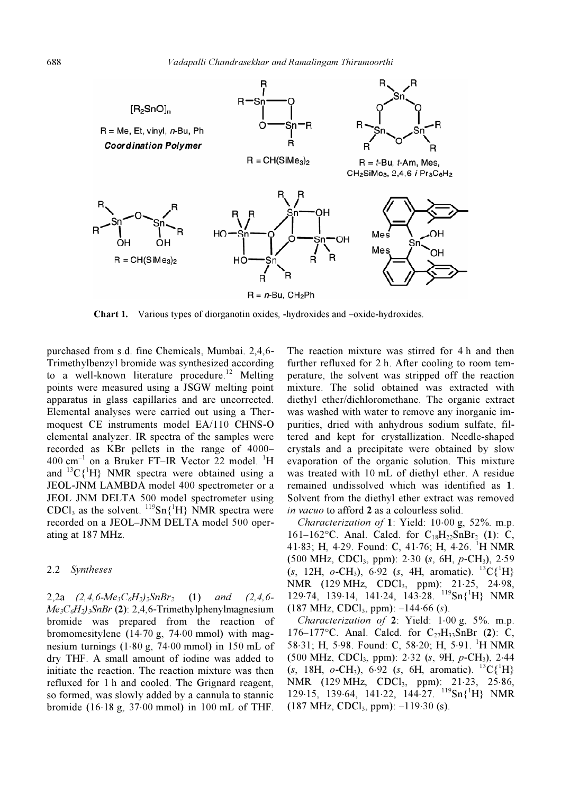

Chart 1. Various types of diorganotin oxides, -hydroxides and –oxide-hydroxides.

purchased from s.d. fine Chemicals, Mumbai. 2,4,6- Trimethylbenzyl bromide was synthesized according to a well-known literature procedure.<sup>12</sup> Melting points were measured using a JSGW melting point apparatus in glass capillaries and are uncorrected. Elemental analyses were carried out using a Thermoquest CE instruments model EA/110 CHNS-O elemental analyzer. IR spectra of the samples were recorded as KBr pellets in the range of 4000–  $400 \text{ cm}^{-1}$  on a Bruker FT-IR Vector 22 model. <sup>1</sup>H and  ${}^{13}C\{{}^{1}H\}$  NMR spectra were obtained using a JEOL-JNM LAMBDA model 400 spectrometer or a JEOL JNM DELTA 500 model spectrometer using CDCl<sub>3</sub> as the solvent.  ${}^{119}Sn{^1H}$  NMR spectra were recorded on a JEOL–JNM DELTA model 500 operating at 187 MHz.

#### 2.2 Syntheses

2,2a  $(2,4,6-Me_3C_6H_2)_2ShBr_2$  (1) and  $(2,4,6 Me<sub>3</sub>C<sub>6</sub>H<sub>2</sub>$ )<sub>3</sub>SnBr (2): 2,4,6-Trimethylphenylmagnesium bromide was prepared from the reaction of bromomesitylene (14⋅70 g, 74⋅00 mmol) with magnesium turnings (1⋅80 g, 74⋅00 mmol) in 150 mL of dry THF. A small amount of iodine was added to initiate the reaction. The reaction mixture was then refluxed for 1 h and cooled. The Grignard reagent, so formed, was slowly added by a cannula to stannic bromide (16⋅18 g, 37⋅00 mmol) in 100 mL of THF.

The reaction mixture was stirred for 4 h and then further refluxed for 2 h. After cooling to room temperature, the solvent was stripped off the reaction mixture. The solid obtained was extracted with diethyl ether/dichloromethane. The organic extract was washed with water to remove any inorganic impurities, dried with anhydrous sodium sulfate, filtered and kept for crystallization. Needle-shaped crystals and a precipitate were obtained by slow evaporation of the organic solution. This mixture was treated with 10 mL of diethyl ether. A residue remained undissolved which was identified as 1. Solvent from the diethyl ether extract was removed in vacuo to afford 2 as a colourless solid.

Characterization of 1: Yield: 10⋅00 g, 52%. m.p. 161–162°C. Anal. Calcd. for  $C_{18}H_{22}SnBr_2$  (1): C, 41⋅83; H, 4⋅29. Found: C, 41⋅76; H, 4⋅26. <sup>1</sup>H NMR  $(500 \text{ MHz}, \text{CDCl}_3, \text{ ppm})$ : 2⋅30  $(s, 6H, p\text{-CH}_3)$ , 2⋅59  $(s, 12H, o\text{-CH}_3)$ , 6.92  $(s, 4H, \text{ aromatic})$ . <sup>13</sup>C{<sup>1</sup>H} NMR (129 MHz, CDCl<sub>3</sub>, ppm): 21⋅25, 24⋅98, 129⋅74, 139⋅14, 141⋅24, 143⋅28. <sup>119</sup>Sn{<sup>1</sup> H} NMR  $(187 \text{ MHz}, \text{CDCl}_3, \text{ ppm})$ :  $-144.66 \text{ (s)}$ .

Characterization of 2: Yield: 1⋅00 g, 5%. m.p. 176–177°C. Anal. Calcd. for  $C_{27}H_{33}SnBr$  (2): C, 58⋅31; H, 5⋅98. Found: C, 58⋅20; H, 5⋅91. <sup>1</sup>H NMR (500 MHz, CDCl3, ppm): 2⋅32 (s, 9H, p-CH3), 2⋅44  $(s, 18H, o\text{-CH}_3)$ , 6.92 (s, 6H, aromatic). <sup>13</sup>C{<sup>1</sup>H} NMR (129 MHz, CDCl<sub>3</sub>, ppm): 21⋅23, 25⋅86, 129⋅15, 139⋅64, 141⋅22, 144⋅27. <sup>119</sup>Sn{<sup>1</sup> H} NMR  $(187 \text{ MHz}, \text{CDCl}_3, \text{ ppm})$ : –119⋅30 (s).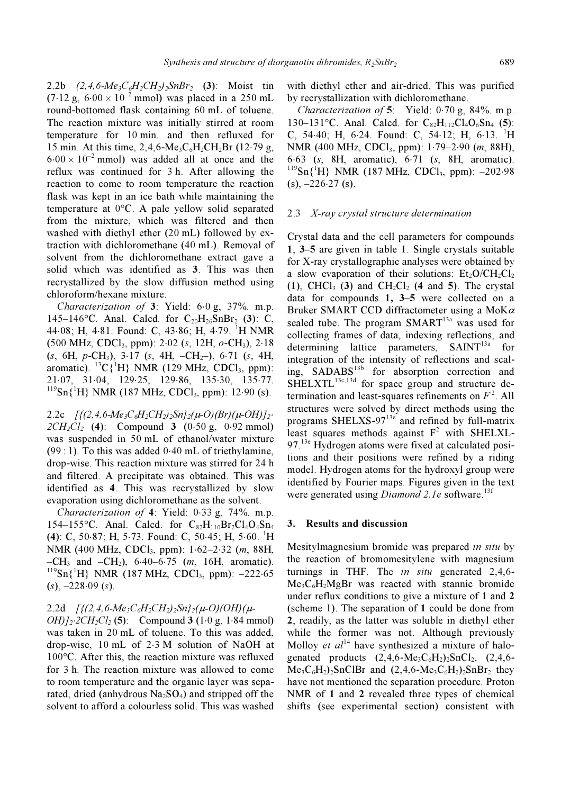2.2b  $(2, 4, 6-Me<sub>3</sub>C<sub>6</sub>H<sub>2</sub>CH<sub>2</sub>)<sub>2</sub>SnBr<sub>2</sub> (3): Moist tin$  $(7.12 \text{ g}, 6.00 \times 10^{-2} \text{ mmol})$  was placed in a 250 mL round-bottomed flask containing 60 mL of toluene. The reaction mixture was initially stirred at room temperature for 10 min. and then refluxed for 15 min. At this time,  $2,4,6-Me_3C_6H_2CH_2Br$  (12⋅79 g,  $6.00 \times 10^{-2}$  mmol) was added all at once and the reflux was continued for 3 h. After allowing the reaction to come to room temperature the reaction flask was kept in an ice bath while maintaining the temperature at 0°C. A pale yellow solid separated from the mixture, which was filtered and then washed with diethyl ether (20 mL) followed by extraction with dichloromethane (40 mL). Removal of solvent from the dichloromethane extract gave a solid which was identified as 3. This was then recrystallized by the slow diffusion method using chloroform/hexane mixture.

Characterization of 3: Yield: 6⋅0 g, 37%. m.p. 145–146°C. Anal. Calcd. for  $C_{20}H_{26}SnBr_2$  (3): C, 44⋅08; H, 4⋅81. Found: C, 43⋅86; H, 4⋅79. <sup>1</sup>H NMR  $(500 \text{ MHz}, \text{CDCl}_3, \text{ ppm})$ : 2⋅02 (s, 12H, o-CH<sub>3</sub>), 2⋅18  $(s, 6H, p\text{-CH}_3)$ , 3⋅17  $(s, 4H, -CH_2)$ , 6⋅71  $(s, 4H,$ aromatic).  ${}^{13}C\{{}^{1}H\}$  NMR (129 MHz, CDCl<sub>3</sub>, ppm): 21⋅07, 31⋅04, 129⋅25, 129⋅86, 135⋅30, 135⋅77.  $^{119}Sn(^{1}H) NMR$  (187 MHz, CDCl<sub>3</sub>, ppm): 12⋅90 (s).

2.2c  $[\{(2,4,6-Me_3C_6H_2CH_2)_{2}Sn\}_2(\mu-O)(Br)(\mu-OH)]_2$ .  $2CH_2Cl_2$  (4): Compound 3 (0⋅50 g, 0⋅92 mmol) was suspended in 50 mL of ethanol/water mixture (99 : 1). To this was added 0⋅40 mL of triethylamine, drop-wise. This reaction mixture was stirred for 24 h and filtered. A precipitate was obtained. This was identified as 4. This was recrystallized by slow evaporation using dichloromethane as the solvent.

Characterization of 4: Yield: 0⋅33 g, 74%. m.p. 154–155 °C. Anal. Calcd. for  $C_{82}H_{110}Br_2Cl_4O_4Sn_4$ (4): C, 50⋅87; H, 5⋅73. Found: C, 50⋅45; H, 5⋅60. <sup>1</sup> H NMR (400 MHz, CDCl<sub>3</sub>, ppm): 1⋅62–2⋅32 (*m*, 88H, –CH<sub>3</sub> and –CH<sub>2</sub>), 6⋅40–6⋅75 (m, 16H, aromatic).  $^{119}Sn$ <sup>1</sup>H} NMR (187 MHz, CDCl<sub>3</sub>, ppm): -222⋅65  $(s)$ ,  $-228.09$   $(s)$ .

2.2d  $\int_2(2,4,6-Me_3C_6H_2CH_2)_{2}Sn_{2}(\mu-O)(OH)(\mu-O)$ 

 $OH)/_{2}$ ⋅ $2CH_{2}Cl_{2}$  (5): Compound 3 (1⋅0 g, 1⋅84 mmol) was taken in 20 mL of toluene. To this was added, drop-wise, 10 mL of 2⋅3 M solution of NaOH at 100°C. After this, the reaction mixture was refluxed for 3 h. The reaction mixture was allowed to come to room temperature and the organic layer was separated, dried (anhydrous  $Na<sub>2</sub>SO<sub>4</sub>$ ) and stripped off the solvent to afford a colourless solid. This was washed with diethyl ether and air-dried. This was purified by recrystallization with dichloromethane.

Characterization of 5: Yield: 0⋅70 g, 84%. m.p. 130–131°C. Anal. Calcd. for  $C_{82}H_{112}Cl_4O_6Sn_4$  (5): C, 54⋅40; H, 6⋅24. Found: C, 54⋅12; H, 6⋅13. <sup>1</sup> H NMR (400 MHz, CDCl<sub>3</sub>, ppm): 1⋅79–2⋅90 (*m*, 88H), 6⋅63 (s, 8H, aromatic), 6⋅71 (s, 8H, aromatic).  $119$ Sn{ ${}^{1}$ H} NMR (187 MHz, CDCl<sub>3</sub>, ppm): -202⋅98  $(s)$ ,  $-226.27$  (s).

#### 2.3 X-ray crystal structure determination

Crystal data and the cell parameters for compounds 1, 3–5 are given in table 1. Single crystals suitable for X-ray crystallographic analyses were obtained by a slow evaporation of their solutions:  $Et_2O/CH_2Cl_2$ (1), CHCl<sub>3</sub> (3) and CH<sub>2</sub>Cl<sub>2</sub> (4 and 5). The crystal data for compounds 1, 3–5 were collected on a Bruker SMART CCD diffractometer using a MoK $\alpha$ sealed tube. The program  $SMARKT^{13a}$  was used for collecting frames of data, indexing reflections, and determining lattice parameters,  $SAINT<sup>13a</sup>$  for integration of the intensity of reflections and scaling, SADABS<sup>13b</sup> for absorption correction and  $SHELXTL<sup>13c,13d</sup>$  for space group and structure determination and least-squares refinements on  $F^2$ . All structures were solved by direct methods using the programs SHELXS-9713e and refined by full-matrix least squares methods against  $F^2$  with SHELXL- $97<sup>13e</sup>$  Hydrogen atoms were fixed at calculated positions and their positions were refined by a riding model. Hydrogen atoms for the hydroxyl group were identified by Fourier maps. Figures given in the text were generated using *Diamond 2.1e* software.<sup>13f</sup>

#### 3. Results and discussion

Mesitylmagnesium bromide was prepared *in situ* by the reaction of bromomesitylene with magnesium turnings in THF. The *in situ* generated 2,4,6- $Me<sub>3</sub>C<sub>6</sub>H<sub>2</sub>MgBr$  was reacted with stannic bromide under reflux conditions to give a mixture of 1 and 2 (scheme 1). The separation of 1 could be done from 2, readily, as the latter was soluble in diethyl ether while the former was not. Although previously Molloy *et al*<sup>14</sup> have synthesized a mixture of halogenated products  $(2,4,6-Me_3C_6H_2)$ <sub>2</sub>SnCl<sub>2</sub>,  $(2,4,6-Ve_3)$  $Me<sub>3</sub>C<sub>6</sub>H<sub>2</sub>)<sub>2</sub>SnClBr$  and  $(2,4,6-Me<sub>3</sub>C<sub>6</sub>H<sub>2</sub>)<sub>2</sub>SnBr<sub>2</sub> they$ have not mentioned the separation procedure. Proton NMR of 1 and 2 revealed three types of chemical shifts (see experimental section) consistent with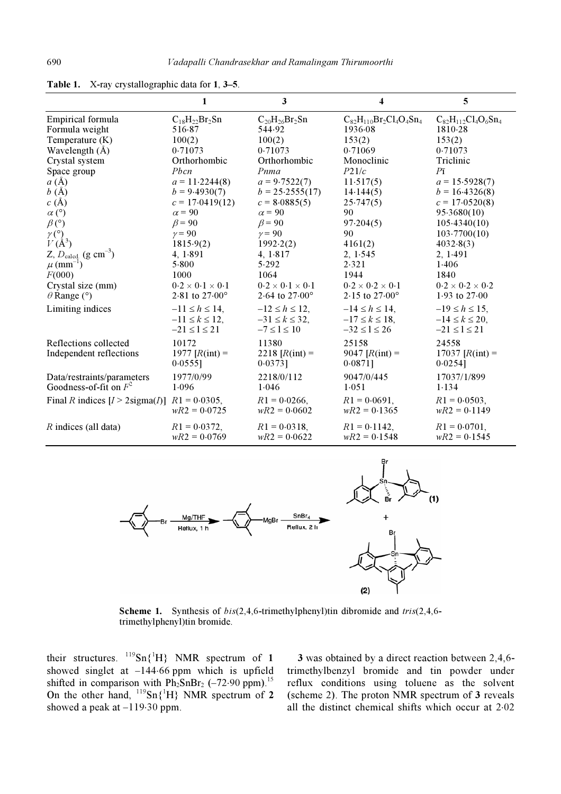|                                                        | 1                           | 3                           | 4                              | 5                           |
|--------------------------------------------------------|-----------------------------|-----------------------------|--------------------------------|-----------------------------|
| Empirical formula                                      | $C_{18}H_{22}Br_2Sn$        | $C_{20}H_{26}Br_2Sn$        | $C_{82}H_{110}Br_2Cl_4O_4Sn_4$ | $C_{82}H_{112}Cl_4O_6Sn_4$  |
| Formula weight                                         | 516.87                      | 544.92                      | 1936.08                        | 1810.28                     |
| Temperature (K)                                        | 100(2)                      | 100(2)                      | 153(2)                         | 153(2)                      |
| Wavelength $(A)$                                       | 0.71073                     | 0.71073                     | 0.71069                        | 0.71073                     |
| Crystal system                                         | Orthorhombic                | Orthorhombic                | Monoclinic                     | Triclinic                   |
| Space group                                            | Pbcn                        | Pnma                        | P21/c                          | $P\bar{1}$                  |
| $a(\AA)$                                               | $a = 11.2244(8)$            | $a = 9.7522(7)$             | 11.517(5)                      | $a = 15.5928(7)$            |
| b(A)                                                   | $b = 9.4930(7)$             | $b = 25.2555(17)$           | 14.144(5)                      | $b = 16.4326(8)$            |
| c(A)                                                   | $c = 17.0419(12)$           | $c = 8.0885(5)$             | 25.747(5)                      | $c = 17.0520(8)$            |
| $\alpha$ (°)                                           | $\alpha$ = 90               | $\alpha$ = 90               | 90                             | 95.3680(10)                 |
| $\beta$ (°)                                            | $\beta$ = 90                | $\beta$ = 90                | 97.204(5)                      | 105.4340(10)                |
| $\gamma$ (°)                                           | $\gamma = 90$               | $\gamma = 90$               | 90                             | 103.7700(10)                |
| $V(A^3)$                                               | 1815.9(2)                   | 1992.2(2)                   | 4161(2)                        | 4032.8(3)                   |
| Z, $D_{\text{caled}}$ (g cm <sup>-3</sup> )            | 4, 1.891                    | 4, 1.817                    | 2, 1.545                       | 2, 1.491                    |
| $\mu$ (mm <sup>-1</sup> )                              | 5.800                       | 5.292                       | 2.321                          | 1.406                       |
| F(000)                                                 | 1000                        | 1064                        | 1944                           | 1840                        |
| Crystal size (mm)                                      | $0.2 \times 0.1 \times 0.1$ | $0.2 \times 0.1 \times 0.1$ | $0.2 \times 0.2 \times 0.1$    | $0.2 \times 0.2 \times 0.2$ |
| $\theta$ Range (°)                                     | 2.81 to $27.00^{\circ}$     | 2.64 to $27.00^{\circ}$     | 2.15 to $27.00^{\circ}$        | 1.93 to $27.00$             |
| Limiting indices                                       | $-11 \le h \le 14$ ,        | $-12 \le h \le 12$ ,        | $-14 \le h \le 14$ ,           | $-19 \le h \le 15$ ,        |
|                                                        | $-11 \le k \le 12$ ,        | $-31 \le k \le 32$ ,        | $-17 \le k \le 18$ ,           | $-14 \le k \le 20$ ,        |
|                                                        | $-21 \le l \le 21$          | $-7 \leq l \leq 10$         | $-32 \le l \le 26$             | $-21 \le l \le 21$          |
| Reflections collected                                  | 10172                       | 11380                       | 25158                          | 24558                       |
| Independent reflections                                | 1977 $[R(int) =$            | 2218 $[R(int) =$            | 9047 $[R(int) =$               | 17037 $[R(int) =$           |
|                                                        | $0.0555$ ]                  | $0.0373$ ]                  | $0.0871$ ]                     | 0.0254]                     |
| Data/restraints/parameters                             | 1977/0/99                   | 2218/0/112                  | 9047/0/445                     | 17037/1/899                 |
| Goodness-of-fit on $F^2$                               | 1.096                       | 1.046                       | 1.051                          | 1.134                       |
| Final R indices $[I > 2 \text{sigma}(I)]$ R1 = 0.0305, |                             | $R1 = 0.0266$ ,             | $R1 = 0.0691$ ,                | $R1 = 0.0503$ ,             |
|                                                        | $wR2 = 0.0725$              | $wR2 = 0.0602$              | $wR2 = 0.1365$                 | $wR2 = 0.1149$              |
| R indices (all data)                                   | $R1 = 0.0372$ ,             | $R1 = 0.0318$ ,             | $R1 = 0.1142$ ,                | $R1 = 0.0701$ ,             |
|                                                        | $wR2 = 0.0769$              | $wR2 = 0.0622$              | $wR2 = 0.1548$                 | $wR2 = 0.1545$              |

Table 1. X-ray crystallographic data for 1, 3–5.



Scheme 1. Synthesis of  $bis(2,4,6-$ trimethylphenyl)tin dibromide and tris(2,4,6trimethylphenyl)tin bromide.

their structures.  $^{119}Sn{^1H}$  NMR spectrum of 1 showed singlet at –144⋅66 ppm which is upfield shifted in comparison with  $\overrightarrow{Ph_2SnBr_2}$  (–72⋅90 ppm).<sup>15</sup> On the other hand,  $^{119}Sn({}^{1}H)$  NMR spectrum of 2 showed a peak at  $-119.30$  ppm.

3 was obtained by a direct reaction between 2,4,6 trimethylbenzyl bromide and tin powder under reflux conditions using toluene as the solvent (scheme 2). The proton NMR spectrum of 3 reveals all the distinct chemical shifts which occur at 2⋅02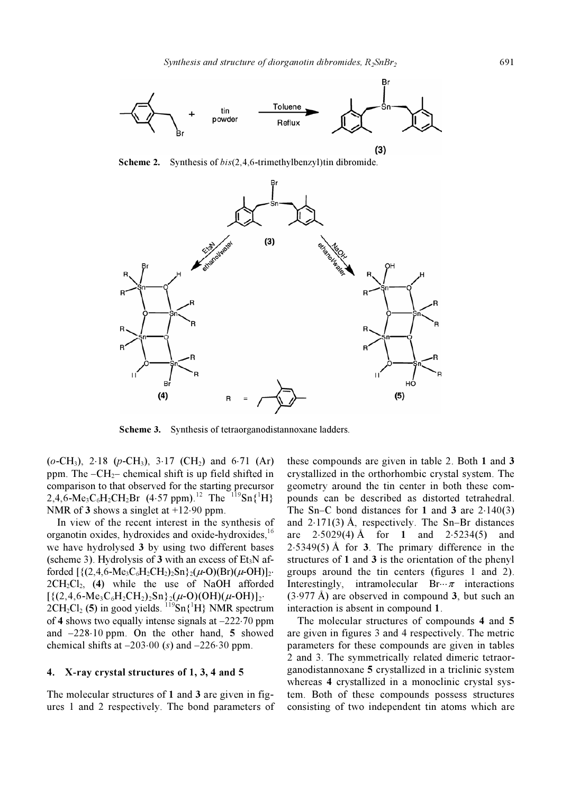

**Scheme 2.** Synthesis of  $bis(2,4,6-$ trimethylbenzyl)tin dibromide.



Scheme 3. Synthesis of tetraorganodistannoxane ladders.

 $(o\text{-CH}_3)$ , 2⋅18 (p-CH<sub>3</sub>), 3⋅17 (CH<sub>2</sub>) and 6⋅71 (Ar) ppm. The  $-CH_{2}$ – chemical shift is up field shifted in comparison to that observed for the starting precursor 2,4,6-Me<sub>3</sub>C<sub>6</sub>H<sub>2</sub>CH<sub>2</sub>Br (4⋅57 ppm).<sup>12</sup> The <sup>119</sup>Sn{<sup>1</sup>H} NMR of 3 shows a singlet at +12⋅90 ppm.

 In view of the recent interest in the synthesis of organotin oxides, hydroxides and oxide-hydroxides,<sup>16</sup> we have hydrolysed 3 by using two different bases (scheme 3). Hydrolysis of 3 with an excess of  $Et_3N$  afforded  $[\{(2,4,6-Me_3C_6H_2CH_2)_2Sn\}_2(\mu-O)(Br)(\mu-OH)]_2$ .  $2CH_2Cl_2$ , (4) while the use of NaOH afforded  $[{(2,4,6\text{-Me}_3C_6H_2CH_2)_2Sn}_2(\mu\text{-}O)(OH)(\mu\text{-}OH)]_2$  $2CH_2Cl_2$  (5) in good yields.  $^{119}Sn(^{1}H)$  NMR spectrum of 4 shows two equally intense signals at –222⋅70 ppm and –228⋅10 ppm. On the other hand, 5 showed chemical shifts at  $-203.00$  (s) and  $-226.30$  ppm.

### 4. X-ray crystal structures of 1, 3, 4 and 5

The molecular structures of 1 and 3 are given in figures 1 and 2 respectively. The bond parameters of these compounds are given in table 2. Both 1 and 3 crystallized in the orthorhombic crystal system. The geometry around the tin center in both these compounds can be described as distorted tetrahedral. The Sn–C bond distances for 1 and 3 are  $2.140(3)$ and  $2 \cdot 171(3)$  Å, respectively. The Sn–Br distances are  $2.5029(4)$  Å for 1 and  $2.5234(5)$  and  $2.5349(5)$  Å for 3. The primary difference in the structures of 1 and 3 is the orientation of the phenyl groups around the tin centers (figures 1 and 2). Interestingly, intramolecular Br $\cdots \pi$  interactions  $(3.977 \text{ Å})$  are observed in compound 3, but such an interaction is absent in compound 1.

 The molecular structures of compounds 4 and 5 are given in figures 3 and 4 respectively. The metric parameters for these compounds are given in tables 2 and 3. The symmetrically related dimeric tetraorganodistannoxane 5 crystallized in a triclinic system whereas 4 crystallized in a monoclinic crystal system. Both of these compounds possess structures consisting of two independent tin atoms which are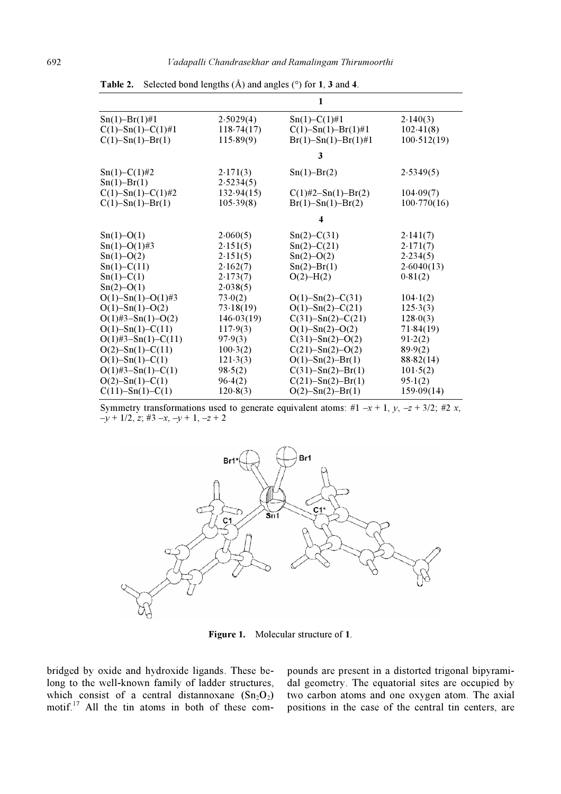| $Sn(1)-Br(1)\#1$<br>$C(1)$ -Sn(1)-C(1)#1<br>$C(1)$ -Sn(1)-Br(1) | 2.5029(4)<br>118.74(17)<br>115.89(9) | $Sn(1)-C(1)\#1$<br>$C(1)$ -Sn(1)-Br(1)#1<br>$Br(1)-Sn(1)-Br(1)\#1$ | 2.140(3)<br>102.41(8)<br>100.512(19) |  |  |  |
|-----------------------------------------------------------------|--------------------------------------|--------------------------------------------------------------------|--------------------------------------|--|--|--|
|                                                                 | 3                                    |                                                                    |                                      |  |  |  |
| $Sn(1)-C(1)\#2$<br>$Sn(1) - Br(1)$                              | 2.171(3)<br>2.5234(5)                | $Sn(1)-Br(2)$                                                      | 2.5349(5)                            |  |  |  |
| $C(1)$ -Sn(1)-C(1)#2<br>$C(1)$ -Sn(1)-Br(1)                     | 132.94(15)<br>105.39(8)              | $C(1)\#2-Sn(1)-Br(2)$<br>$Br(1)-Sn(1)-Br(2)$                       | 104.09(7)<br>100.770(16)             |  |  |  |
|                                                                 | 4                                    |                                                                    |                                      |  |  |  |
| $Sn(1)-O(1)$<br>$Sn(1)-O(1)\#3$                                 | 2.060(5)<br>2.151(5)                 | $Sn(2)-C(31)$<br>$Sn(2)-C(21)$                                     | 2.141(7)<br>2.171(7)                 |  |  |  |
| $Sn(1)-O(2)$                                                    | 2.151(5)                             | $Sn(2)-O(2)$                                                       | 2.234(5)                             |  |  |  |
| $Sn(1)-C(11)$<br>$Sn(1) - C(1)$<br>$Sn(2)-O(1)$                 | 2.162(7)<br>2.173(7)<br>2.038(5)     | $Sn(2) - Br(1)$<br>$O(2) - H(2)$                                   | 2.6040(13)<br>0.81(2)                |  |  |  |
| $O(1)$ -Sn(1)-O(1)#3                                            | 73.0(2)                              | $O(1)$ -Sn(2)-C(31)                                                | 104.1(2)                             |  |  |  |
| $O(1)$ -Sn(1)-O(2)<br>$O(1)$ #3-Sn(1)-O(2)                      | 73.18(19)<br>146.03(19)              | $O(1)$ -Sn(2)-C(21)<br>$C(31) - Sn(2) - C(21)$                     | 125.3(3)<br>128.0(3)                 |  |  |  |
| $O(1)$ -Sn(1)-C(11)                                             | 117.9(3)                             | $O(1)$ -Sn(2)-O(2)                                                 | 71.84(19)                            |  |  |  |
| $O(1)$ #3-Sn(1)-C(11)                                           | 97.9(3)                              | $C(31) - Sn(2) - O(2)$                                             | 91.2(2)                              |  |  |  |
| $O(2)$ -Sn(1)-C(11)<br>$O(1)$ -Sn(1)-C(1)                       | 100.3(2)<br>121.3(3)                 | $C(21) - Sn(2) - O(2)$<br>$O(1) - Sn(2) - Br(1)$                   | 89.9(2)<br>88.82(14)                 |  |  |  |
| $O(1)$ #3-Sn(1)-C(1)                                            | 98.5(2)                              | $C(31) - Sn(2) - Br(1)$                                            | 101.5(2)                             |  |  |  |
| $O(2)$ -Sn(1)-C(1)                                              | 96.4(2)                              | $C(21) - Sn(2) - Br(1)$                                            | 95.1(2)                              |  |  |  |
| $C(11) - Sn(1) - C(1)$                                          | 120.8(3)                             | $O(2)$ -Sn $(2)$ -Br $(1)$                                         | 159.09(14)                           |  |  |  |

**Table 2.** Selected bond lengths  $(A)$  and angles  $(°)$  for 1, 3 and 4.

Symmetry transformations used to generate equivalent atoms: #1 –x + 1, y, –z + 3/2; #2 x,  $-y + 1/2, z; \#3 - x, -y + 1, -z + 2$ 



Figure 1. Molecular structure of 1.

bridged by oxide and hydroxide ligands. These belong to the well-known family of ladder structures, which consist of a central distannoxane  $(Sn_2O_2)$ motif.<sup>17</sup> All the tin atoms in both of these compounds are present in a distorted trigonal bipyramidal geometry. The equatorial sites are occupied by two carbon atoms and one oxygen atom. The axial positions in the case of the central tin centers, are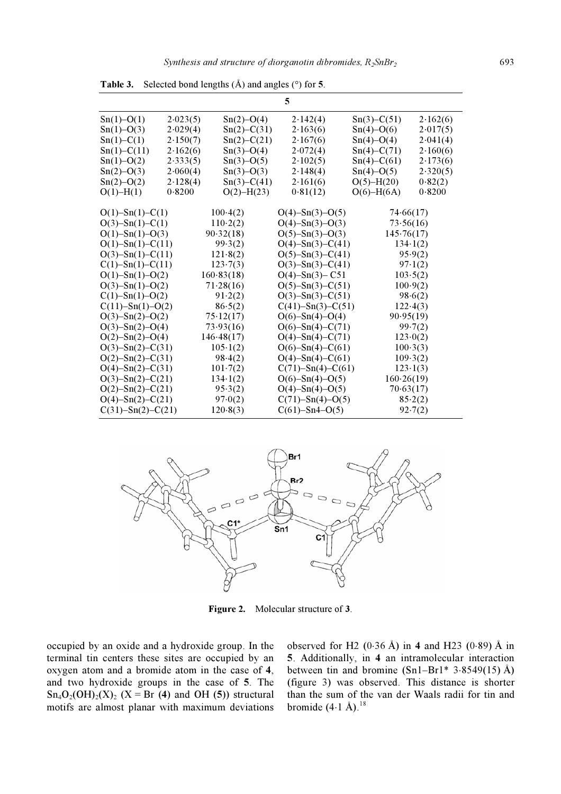| 5                          |          |                  |                         |                  |          |  |  |  |  |
|----------------------------|----------|------------------|-------------------------|------------------|----------|--|--|--|--|
| $Sn(1)-O(1)$               | 2.023(5) | $Sn(2)-O(4)$     | 2.142(4)                | $Sn(3)-C(51)$    | 2.162(6) |  |  |  |  |
| $Sn(1)-O(3)$               | 2.029(4) | $Sn(2) - C(31)$  | 2.163(6)                | $Sn(4)-O(6)$     | 2.017(5) |  |  |  |  |
| $Sn(1)-C(1)$               | 2.150(7) | $Sn(2)-C(21)$    | 2.167(6)                | $Sn(4)-O(4)$     | 2.041(4) |  |  |  |  |
| $Sn(1)-C(11)$              | 2.162(6) | $Sn(3)-O(4)$     | 2.072(4)                | $Sn(4)-C(71)$    | 2.160(6) |  |  |  |  |
| $Sn(1)-O(2)$               | 2.333(5) | $Sn(3)-O(5)$     | 2.102(5)                | $Sn(4)-C(61)$    | 2.173(6) |  |  |  |  |
| $Sn(2) - O(3)$             | 2.060(4) | $Sn(3)-O(3)$     | 2.148(4)                | $Sn(4)-O(5)$     | 2.320(5) |  |  |  |  |
| $Sn(2) - O(2)$             | 2.128(4) | $Sn(3)-C(41)$    | 2.161(6)                | $O(5) - H(20)$   | 0.82(2)  |  |  |  |  |
| $O(1) - H(1)$              | 0.8200   | $O(2)$ -H(23)    | 0.81(12)                | $O(6)$ -H $(6A)$ | 0.8200   |  |  |  |  |
| $O(1)$ -Sn(1)-C(1)         |          | $100-4(2)$       | $O(4)$ -Sn(3)-O(5)      | 74.66(17)        |          |  |  |  |  |
| $O(3)$ -Sn(1)-C(1)         |          | 110.2(2)         | $O(4)$ -Sn(3)-O(3)      | 73.56(16)        |          |  |  |  |  |
| $O(1) - Sn(1) - O(3)$      |          | 90.32(18)        | $O(5)$ -Sn(3)-O(3)      | 145.76(17)       |          |  |  |  |  |
| $O(1)$ -Sn(1)-C(11)        |          | 99.3(2)          | $O(4)$ -Sn(3)-C(41)     | 134.1(2)         |          |  |  |  |  |
| $O(3)$ -Sn(1)-C(11)        |          | 121.8(2)         | $O(5)$ -Sn(3)-C(41)     | 95.9(2)          |          |  |  |  |  |
| $C(1)$ -Sn(1)-C(11)        |          | 123.7(3)         | $O(3)$ -Sn(3)-C(41)     | 97.1(2)          |          |  |  |  |  |
| $O(1)$ -Sn(1)-O(2)         |          | 160.83(18)       | $O(4)$ -Sn $(3)$ -C51   | 103.5(2)         |          |  |  |  |  |
| $O(3)$ -Sn(1)-O(2)         |          | 71.28(16)        | $O(5)$ -Sn(3)-C(51)     | 100.9(2)         |          |  |  |  |  |
| $C(1)$ -Sn(1)-O(2)         |          | 91.2(2)          | $O(3)$ -Sn(3)-C(51)     | 98.6(2)          |          |  |  |  |  |
| $C(11) - Sn(1) - O(2)$     |          | 86.5(2)          | $C(41) - Sn(3) - C(51)$ | 122.4(3)         |          |  |  |  |  |
| $O(3)$ -Sn(2)-O(2)         |          | 75.12(17)        | $O(6)$ -Sn(4)-O(4)      | 90.95(19)        |          |  |  |  |  |
| $O(3)$ -Sn(2)-O(4)         |          | 73.93(16)        | $O(6)$ -Sn(4)-C(71)     | 99.7(2)          |          |  |  |  |  |
| $O(2)$ -Sn $(2)$ -O $(4)$  |          | 146.48(17)       | $O(4)$ -Sn(4)-C(71)     | 123.0(2)         |          |  |  |  |  |
| $O(3)$ -Sn(2)-C(31)        |          | $105 \cdot 1(2)$ | $O(6)$ -Sn(4)-C(61)     | 100.3(3)         |          |  |  |  |  |
| $O(2)$ -Sn $(2)$ -C $(31)$ |          | 98.4(2)          | $O(4)$ -Sn(4)-C(61)     | 109.3(2)         |          |  |  |  |  |
| $O(4)$ -Sn(2)-C(31)        |          | $101-7(2)$       | $C(71)$ -Sn(4)-C(61)    | $123 \cdot 1(3)$ |          |  |  |  |  |
| $O(3)$ -Sn(2)-C(21)        |          | $134 \cdot 1(2)$ | $O(6)$ -Sn(4)-O(5)      | 160.26(19)       |          |  |  |  |  |
| $O(2)$ -Sn(2)-C(21)        |          | 95.3(2)          | $O(4)$ -Sn(4)- $O(5)$   | 70.63(17)        |          |  |  |  |  |
| $O(4)$ -Sn(2)-C(21)        |          | 97.0(2)          | $C(71) - Sn(4) - O(5)$  | 85.2(2)          |          |  |  |  |  |
| $C(31) - Sn(2) - C(21)$    |          | 120.8(3)         | $C(61)$ -Sn4-O(5)       | 92.7(2)          |          |  |  |  |  |

**Table 3.** Selected bond lengths  $(A)$  and angles  $(\circ)$  for 5.



Figure 2. Molecular structure of 3.

occupied by an oxide and a hydroxide group. In the terminal tin centers these sites are occupied by an oxygen atom and a bromide atom in the case of 4, and two hydroxide groups in the case of 5. The  $Sn_4O_2(OH)_2(X)_2$  (X = Br (4) and OH (5)) structural motifs are almost planar with maximum deviations observed for H2 (0⋅36 Å) in 4 and H23 (0⋅89) Å in 5. Additionally, in 4 an intramolecular interaction between tin and bromine  $(Sn1-Br1* 3.8549(15)$  Å) (figure 3) was observed. This distance is shorter than the sum of the van der Waals radii for tin and bromide  $(4.1 \text{ Å})$ .<sup>18</sup>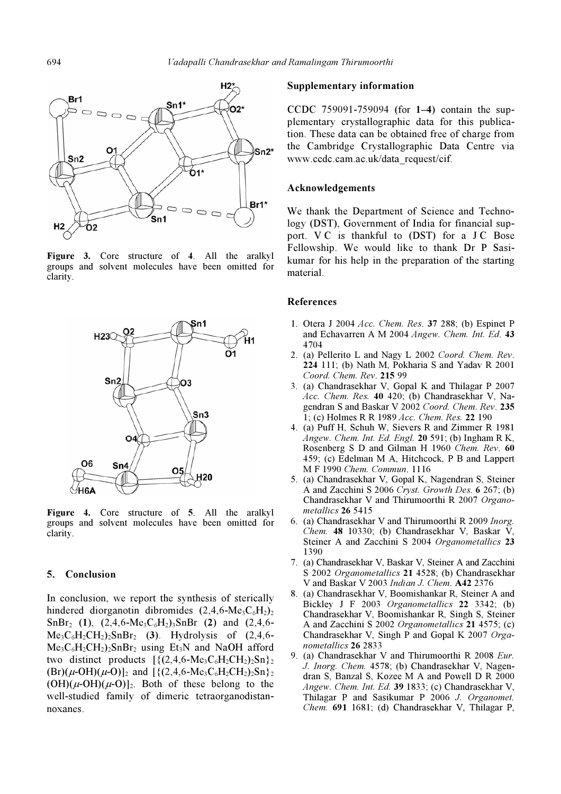

Figure 3. Core structure of 4. All the aralkyl groups and solvent molecules have been omitted for clarity.



Figure 4. Core structure of 5. All the aralkyl groups and solvent molecules have been omitted for clarity.

## 5. Conclusion

In conclusion, we report the synthesis of sterically hindered diorganotin dibromides  $(2,4,6-\text{Me}_3\text{C}_6\text{H}_2)$  $SnBr<sub>2</sub> (1), (2,4,6-Me<sub>3</sub>C<sub>6</sub>H<sub>2</sub>)<sub>3</sub>SnBr (2) and (2,4,6 Me<sub>3</sub>C<sub>6</sub>H<sub>2</sub>CH<sub>2</sub>)<sub>2</sub>SnBr<sub>2</sub>$  (3). Hydrolysis of (2,4,6- $Me<sub>3</sub>C<sub>6</sub>H<sub>2</sub>CH<sub>2</sub>)<sub>2</sub>SnBr<sub>2</sub> using Et<sub>3</sub>N and NaOH afford$ two distinct products  $\left[ \{ (2,4,6-\text{Me}_3\text{C}_6\text{H}_2\text{CH}_2) \} \right]$  $(Br)(\mu$ -OH $)(\mu$ -O)]<sub>2</sub> and  $[\{(2,4,6-Me_3C_6H_2CH_2)_2Sn\}_2]$  $(OH)(\mu-OH)(\mu-O)|_2$ . Both of these belong to the well-studied family of dimeric tetraorganodistannoxanes.

#### Supplementary information

CCDC 759091-759094 (for 1–4) contain the supplementary crystallographic data for this publication. These data can be obtained free of charge from the Cambridge Crystallographic Data Centre via www.ccdc.cam.ac.uk/data\_request/cif.

#### Acknowledgements

We thank the Department of Science and Technology (DST), Government of India for financial support. V C is thankful to (DST) for a J C Bose Fellowship. We would like to thank Dr P Sasikumar for his help in the preparation of the starting material.

#### References

- 1. Otera J 2004 Acc. Chem. Res. 37 288; (b) Espinet P and Echavarren A M 2004 Angew. Chem. Int. Ed. 43 4704
- 2. (a) Pellerito L and Nagy L 2002 Coord. Chem. Rev. 224 111; (b) Nath M, Pokharia S and Yadav R 2001 Coord. Chem. Rev. 215 99
- 3. (a) Chandrasekhar V, Gopal K and Thilagar P 2007 Acc. Chem. Res. 40 420; (b) Chandrasekhar V, Nagendran S and Baskar V 2002 Coord. Chem. Rev. 235 1; (c) Holmes R R 1989 Acc. Chem. Res. 22 190
- 4. (a) Puff H, Schuh W, Sievers R and Zimmer R 1981 Angew. Chem. Int. Ed. Engl. 20 591; (b) Ingham R K, Rosenberg S D and Gilman H 1960 Chem. Rev. 60 459; (c) Edelman M A, Hitchcock, P B and Lappert M F 1990 Chem. Commun. 1116
- 5. (a) Chandrasekhar V, Gopal K, Nagendran S, Steiner A and Zacchini S 2006 Cryst. Growth Des. 6 267; (b) Chandrasekhar V and Thirumoorthi R 2007 Organometallics 26 5415
- 6. (a) Chandrasekhar V and Thirumoorthi R 2009 Inorg. Chem. 48 10330; (b) Chandrasekhar V, Baskar V, Steiner A and Zacchini S 2004 Organometallics 23 1390
- 7. (a) Chandrasekhar V, Baskar V, Steiner A and Zacchini S 2002 Organometallics 21 4528; (b) Chandrasekhar V and Baskar V 2003 Indian J. Chem. A42 2376
- 8. (a) Chandrasekhar V, Boomishankar R, Steiner A and Bickley J F 2003 Organometallics 22 3342; (b) Chandrasekhar V, Boomishankar R, Singh S, Steiner A and Zacchini S 2002 Organometallics 21 4575; (c) Chandrasekhar V, Singh P and Gopal K 2007 Organometallics 26 2833
- 9. (a) Chandrasekhar V and Thirumoorthi R 2008 Eur. J. Inorg. Chem. 4578; (b) Chandrasekhar V, Nagendran S, Banzal S, Kozee M A and Powell D R 2000 Angew. Chem. Int. Ed. 39 1833; (c) Chandrasekhar V, Thilagar P and Sasikumar P 2006 J. Organomet. Chem. 691 1681; (d) Chandrasekhar V, Thilagar P,